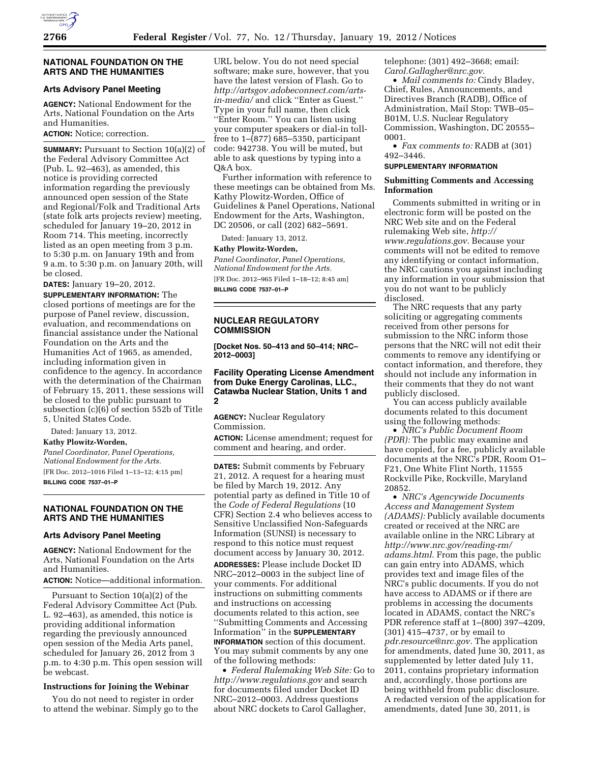

#### **NATIONAL FOUNDATION ON THE ARTS AND THE HUMANITIES**

# **Arts Advisory Panel Meeting**

**AGENCY:** National Endowment for the Arts, National Foundation on the Arts and Humanities.

# **ACTION:** Notice; correction.

**SUMMARY:** Pursuant to Section 10(a)(2) of the Federal Advisory Committee Act (Pub. L. 92–463), as amended, this notice is providing corrected information regarding the previously announced open session of the State and Regional/Folk and Traditional Arts (state folk arts projects review) meeting, scheduled for January 19–20, 2012 in Room 714. This meeting, incorrectly listed as an open meeting from 3 p.m. to 5:30 p.m. on January 19th and from 9 a.m. to 5:30 p.m. on January 20th, will be closed.

**DATES:** January 19–20, 2012.

**SUPPLEMENTARY INFORMATION:** The closed portions of meetings are for the purpose of Panel review, discussion, evaluation, and recommendations on financial assistance under the National Foundation on the Arts and the Humanities Act of 1965, as amended, including information given in confidence to the agency. In accordance with the determination of the Chairman of February 15, 2011, these sessions will be closed to the public pursuant to subsection (c)(6) of section 552b of Title 5, United States Code.

Dated: January 13, 2012.

**Kathy Plowitz-Worden,** 

*Panel Coordinator, Panel Operations, National Endowment for the Arts.*  [FR Doc. 2012–1016 Filed 1–13–12; 4:15 pm]

**BILLING CODE 7537–01–P** 

# **NATIONAL FOUNDATION ON THE ARTS AND THE HUMANITIES**

# **Arts Advisory Panel Meeting**

**AGENCY:** National Endowment for the Arts, National Foundation on the Arts and Humanities.

# **ACTION:** Notice—additional information.

Pursuant to Section 10(a)(2) of the Federal Advisory Committee Act (Pub. L. 92–463), as amended, this notice is providing additional information regarding the previously announced open session of the Media Arts panel, scheduled for January 26, 2012 from 3 p.m. to 4:30 p.m. This open session will be webcast.

# **Instructions for Joining the Webinar**

You do not need to register in order to attend the webinar. Simply go to the

URL below. You do not need special software; make sure, however, that you have the latest version of Flash. Go to *[http://artsgov.adobeconnect.com/arts](http://artsgov.adobeconnect.com/arts-in-media/)[in-media/](http://artsgov.adobeconnect.com/arts-in-media/)* and click ''Enter as Guest.'' Type in your full name, then click ''Enter Room.'' You can listen using your computer speakers or dial-in tollfree to 1–(877) 685–5350, participant code: 942738. You will be muted, but able to ask questions by typing into a Q&A box.

Further information with reference to these meetings can be obtained from Ms. Kathy Plowitz-Worden, Office of Guidelines & Panel Operations, National Endowment for the Arts, Washington, DC 20506, or call (202) 682–5691.

Dated: January 13, 2012.

### **Kathy Plowitz-Worden,**

*Panel Coordinator, Panel Operations, National Endowment for the Arts.*  [FR Doc. 2012–965 Filed 1–18–12; 8:45 am] **BILLING CODE 7537–01–P** 

### **NUCLEAR REGULATORY COMMISSION**

**[Docket Nos. 50–413 and 50–414; NRC– 2012–0003]** 

**Facility Operating License Amendment from Duke Energy Carolinas, LLC., Catawba Nuclear Station, Units 1 and 2** 

**AGENCY:** Nuclear Regulatory Commission.

**ACTION:** License amendment; request for comment and hearing, and order.

**DATES:** Submit comments by February 21, 2012. A request for a hearing must be filed by March 19, 2012. Any potential party as defined in Title 10 of the *Code of Federal Regulations* (10 CFR) Section 2.4 who believes access to Sensitive Unclassified Non-Safeguards Information (SUNSI) is necessary to respond to this notice must request document access by January 30, 2012.

**ADDRESSES:** Please include Docket ID NRC–2012–0003 in the subject line of your comments. For additional instructions on submitting comments and instructions on accessing documents related to this action, see ''Submitting Comments and Accessing Information'' in the **SUPPLEMENTARY INFORMATION** section of this document. You may submit comments by any one of the following methods:

• *Federal Rulemaking Web Site:* Go to *<http://www.regulations.gov>* and search for documents filed under Docket ID NRC–2012–0003. Address questions about NRC dockets to Carol Gallagher,

telephone: (301) 492–3668; email: *[Carol.Gallagher@nrc.gov.](mailto:Carol.Gallagher@nrc.gov)* 

• *Mail comments to:* Cindy Bladey, Chief, Rules, Announcements, and Directives Branch (RADB), Office of Administration, Mail Stop: TWB–05– B01M, U.S. Nuclear Regulatory Commission, Washington, DC 20555– 0001.

• *Fax comments to:* RADB at (301) 492–3446.

### **SUPPLEMENTARY INFORMATION**

### **Submitting Comments and Accessing Information**

Comments submitted in writing or in electronic form will be posted on the NRC Web site and on the Federal rulemaking Web site, *[http://](http://www.regulations.gov) [www.regulations.gov.](http://www.regulations.gov)* Because your comments will not be edited to remove any identifying or contact information, the NRC cautions you against including any information in your submission that you do not want to be publicly disclosed.

The NRC requests that any party soliciting or aggregating comments received from other persons for submission to the NRC inform those persons that the NRC will not edit their comments to remove any identifying or contact information, and therefore, they should not include any information in their comments that they do not want publicly disclosed.

You can access publicly available documents related to this document using the following methods:

• *NRC's Public Document Room (PDR):* The public may examine and have copied, for a fee, publicly available documents at the NRC's PDR, Room O1– F21, One White Flint North, 11555 Rockville Pike, Rockville, Maryland 20852.

• *NRC's Agencywide Documents Access and Management System (ADAMS):* Publicly available documents created or received at the NRC are available online in the NRC Library at *[http://www.nrc.gov/reading-rm/](http://www.nrc.gov/reading-rm/adams.html)  [adams.html.](http://www.nrc.gov/reading-rm/adams.html)* From this page, the public can gain entry into ADAMS, which provides text and image files of the NRC's public documents. If you do not have access to ADAMS or if there are problems in accessing the documents located in ADAMS, contact the NRC's PDR reference staff at 1–(800) 397–4209, (301) 415–4737, or by email to *[pdr.resource@nrc.gov.](mailto:pdr.resource@nrc.gov)* The application for amendments, dated June 30, 2011, as supplemented by letter dated July 11, 2011, contains proprietary information and, accordingly, those portions are being withheld from public disclosure. A redacted version of the application for amendments, dated June 30, 2011, is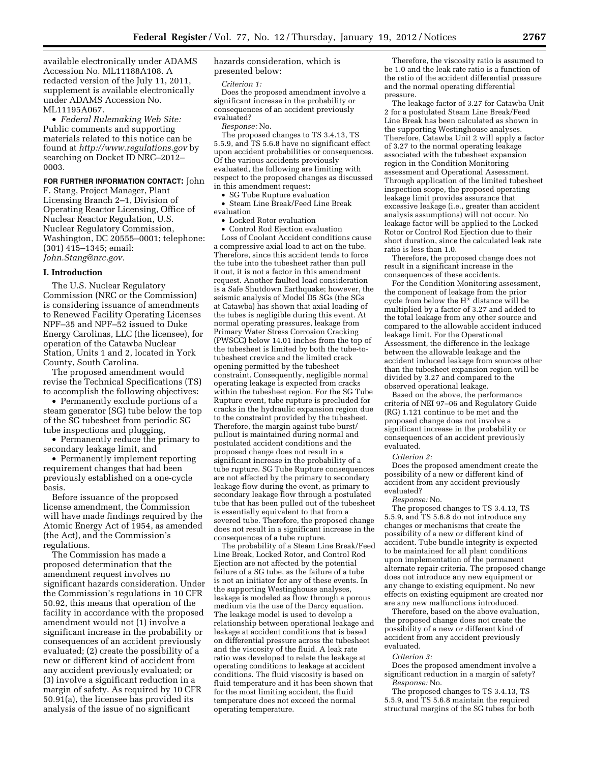available electronically under ADAMS Accession No. ML11188A108. A redacted version of the July 11, 2011, supplement is available electronically under ADAMS Accession No. ML11195A067.

• *Federal Rulemaking Web Site:*  Public comments and supporting materials related to this notice can be found at *<http://www.regulations.gov>* by searching on Docket ID NRC–2012– 0003.

**FOR FURTHER INFORMATION CONTACT:** John F. Stang, Project Manager, Plant Licensing Branch 2–1, Division of Operating Reactor Licensing, Office of Nuclear Reactor Regulation, U.S. Nuclear Regulatory Commission, Washington, DC 20555–0001; telephone: (301) 415–1345; email: *[John.Stang@nrc.gov.](mailto:John.Stang@nrc.gov)* 

#### **I. Introduction**

The U.S. Nuclear Regulatory Commission (NRC or the Commission) is considering issuance of amendments to Renewed Facility Operating Licenses NPF–35 and NPF–52 issued to Duke Energy Carolinas, LLC (the licensee), for operation of the Catawba Nuclear Station, Units 1 and 2, located in York County, South Carolina.

The proposed amendment would revise the Technical Specifications (TS) to accomplish the following objectives:

• Permanently exclude portions of a steam generator (SG) tube below the top of the SG tubesheet from periodic SG tube inspections and plugging,

• Permanently reduce the primary to secondary leakage limit, and

• Permanently implement reporting requirement changes that had been previously established on a one-cycle basis.

Before issuance of the proposed license amendment, the Commission will have made findings required by the Atomic Energy Act of 1954, as amended (the Act), and the Commission's regulations.

The Commission has made a proposed determination that the amendment request involves no significant hazards consideration. Under the Commission's regulations in 10 CFR 50.92, this means that operation of the facility in accordance with the proposed amendment would not (1) involve a significant increase in the probability or consequences of an accident previously evaluated; (2) create the possibility of a new or different kind of accident from any accident previously evaluated; or (3) involve a significant reduction in a margin of safety. As required by 10 CFR 50.91(a), the licensee has provided its analysis of the issue of no significant

hazards consideration, which is presented below:

*Criterion 1:* 

Does the proposed amendment involve a significant increase in the probability or consequences of an accident previously evaluated?

*Response:* No.

The proposed changes to TS 3.4.13, TS 5.5.9, and TS 5.6.8 have no significant effect upon accident probabilities or consequences. Of the various accidents previously evaluated, the following are limiting with respect to the proposed changes as discussed in this amendment request:

• SG Tube Rupture evaluation

• Steam Line Break/Feed Line Break evaluation

• Locked Rotor evaluation

• Control Rod Ejection evaluation Loss of Coolant Accident conditions cause a compressive axial load to act on the tube. Therefore, since this accident tends to force the tube into the tubesheet rather than pull it out, it is not a factor in this amendment request. Another faulted load consideration is a Safe Shutdown Earthquake; however, the seismic analysis of Model D5 SGs (the SGs at Catawba) has shown that axial loading of the tubes is negligible during this event. At normal operating pressures, leakage from Primary Water Stress Corrosion Cracking (PWSCC) below 14.01 inches from the top of the tubesheet is limited by both the tube-totubesheet crevice and the limited crack opening permitted by the tubesheet constraint. Consequently, negligible normal operating leakage is expected from cracks within the tubesheet region. For the SG Tube Rupture event, tube rupture is precluded for cracks in the hydraulic expansion region due to the constraint provided by the tubesheet. Therefore, the margin against tube burst/ pullout is maintained during normal and postulated accident conditions and the proposed change does not result in a significant increase in the probability of a tube rupture. SG Tube Rupture consequences are not affected by the primary to secondary leakage flow during the event, as primary to secondary leakage flow through a postulated tube that has been pulled out of the tubesheet is essentially equivalent to that from a severed tube. Therefore, the proposed change does not result in a significant increase in the consequences of a tube rupture.

The probability of a Steam Line Break/Feed Line Break, Locked Rotor, and Control Rod Ejection are not affected by the potential failure of a SG tube, as the failure of a tube is not an initiator for any of these events. In the supporting Westinghouse analyses, leakage is modeled as flow through a porous medium via the use of the Darcy equation. The leakage model is used to develop a relationship between operational leakage and leakage at accident conditions that is based on differential pressure across the tubesheet and the viscosity of the fluid. A leak rate ratio was developed to relate the leakage at operating conditions to leakage at accident conditions. The fluid viscosity is based on fluid temperature and it has been shown that for the most limiting accident, the fluid temperature does not exceed the normal operating temperature.

Therefore, the viscosity ratio is assumed to be 1.0 and the leak rate ratio is a function of the ratio of the accident differential pressure and the normal operating differential pressure.

The leakage factor of 3.27 for Catawba Unit 2 for a postulated Steam Line Break/Feed Line Break has been calculated as shown in the supporting Westinghouse analyses. Therefore, Catawba Unit 2 will apply a factor of 3.27 to the normal operating leakage associated with the tubesheet expansion region in the Condition Monitoring assessment and Operational Assessment. Through application of the limited tubesheet inspection scope, the proposed operating leakage limit provides assurance that excessive leakage (i.e., greater than accident analysis assumptions) will not occur. No leakage factor will be applied to the Locked Rotor or Control Rod Ejection due to their short duration, since the calculated leak rate ratio is less than 1.0.

Therefore, the proposed change does not result in a significant increase in the consequences of these accidents.

For the Condition Monitoring assessment, the component of leakage from the prior cycle from below the  $H^*$  distance will be multiplied by a factor of 3.27 and added to the total leakage from any other source and compared to the allowable accident induced leakage limit. For the Operational Assessment, the difference in the leakage between the allowable leakage and the accident induced leakage from sources other than the tubesheet expansion region will be divided by 3.27 and compared to the observed operational leakage.

Based on the above, the performance criteria of NEI 97–06 and Regulatory Guide (RG) 1.121 continue to be met and the proposed change does not involve a significant increase in the probability or consequences of an accident previously evaluated.

#### *Criterion 2:*

Does the proposed amendment create the possibility of a new or different kind of accident from any accident previously evaluated?

#### *Response:* No.

The proposed changes to TS 3.4.13, TS 5.5.9, and TS 5.6.8 do not introduce any changes or mechanisms that create the possibility of a new or different kind of accident. Tube bundle integrity is expected to be maintained for all plant conditions upon implementation of the permanent alternate repair criteria. The proposed change does not introduce any new equipment or any change to existing equipment. No new effects on existing equipment are created nor are any new malfunctions introduced.

Therefore, based on the above evaluation, the proposed change does not create the possibility of a new or different kind of accident from any accident previously evaluated.

#### *Criterion 3:*

Does the proposed amendment involve a significant reduction in a margin of safety? *Response:* No.

The proposed changes to TS 3.4.13, TS 5.5.9, and TS 5.6.8 maintain the required structural margins of the SG tubes for both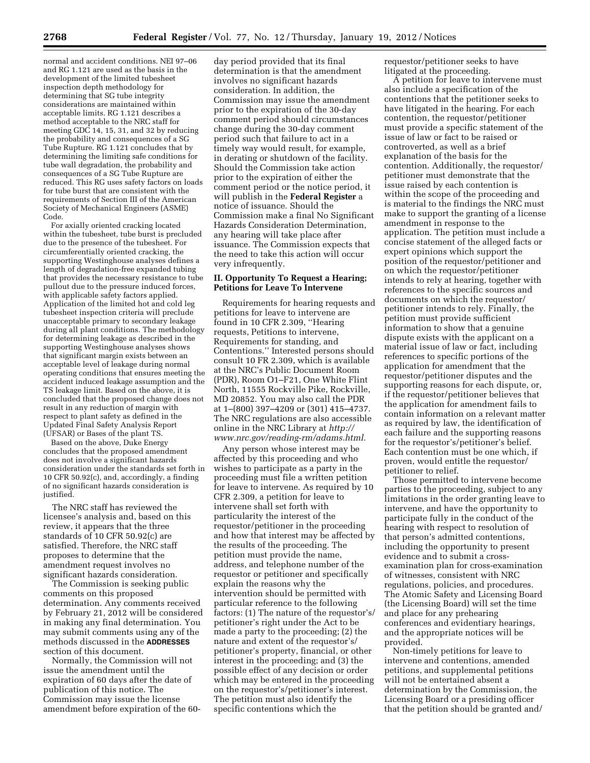normal and accident conditions. NEI 97–06 and RG 1.121 are used as the basis in the development of the limited tubesheet inspection depth methodology for determining that SG tube integrity considerations are maintained within acceptable limits. RG 1.121 describes a method acceptable to the NRC staff for meeting GDC 14, 15, 31, and 32 by reducing the probability and consequences of a SG Tube Rupture. RG 1.121 concludes that by determining the limiting safe conditions for tube wall degradation, the probability and consequences of a SG Tube Rupture are reduced. This RG uses safety factors on loads for tube burst that are consistent with the requirements of Section III of the American Society of Mechanical Engineers (ASME) Code.

For axially oriented cracking located within the tubesheet, tube burst is precluded due to the presence of the tubesheet. For circumferentially oriented cracking, the supporting Westinghouse analyses defines a length of degradation-free expanded tubing that provides the necessary resistance to tube pullout due to the pressure induced forces, with applicable safety factors applied. Application of the limited hot and cold leg tubesheet inspection criteria will preclude unacceptable primary to secondary leakage during all plant conditions. The methodology for determining leakage as described in the supporting Westinghouse analyses shows that significant margin exists between an acceptable level of leakage during normal operating conditions that ensures meeting the accident induced leakage assumption and the TS leakage limit. Based on the above, it is concluded that the proposed change does not result in any reduction of margin with respect to plant safety as defined in the Updated Final Safety Analysis Report (UFSAR) or Bases of the plant TS.

Based on the above, Duke Energy concludes that the proposed amendment does not involve a significant hazards consideration under the standards set forth in 10 CFR 50.92(c), and, accordingly, a finding of no significant hazards consideration is justified.

The NRC staff has reviewed the licensee's analysis and, based on this review, it appears that the three standards of 10 CFR 50.92(c) are satisfied. Therefore, the NRC staff proposes to determine that the amendment request involves no significant hazards consideration.

The Commission is seeking public comments on this proposed determination. Any comments received by February 21, 2012 will be considered in making any final determination. You may submit comments using any of the methods discussed in the **ADDRESSES** section of this document.

Normally, the Commission will not issue the amendment until the expiration of 60 days after the date of publication of this notice. The Commission may issue the license amendment before expiration of the 60-

day period provided that its final determination is that the amendment involves no significant hazards consideration. In addition, the Commission may issue the amendment prior to the expiration of the 30-day comment period should circumstances change during the 30-day comment period such that failure to act in a timely way would result, for example, in derating or shutdown of the facility. Should the Commission take action prior to the expiration of either the comment period or the notice period, it will publish in the **Federal Register** a notice of issuance. Should the Commission make a final No Significant Hazards Consideration Determination, any hearing will take place after issuance. The Commission expects that the need to take this action will occur very infrequently.

# **II. Opportunity To Request a Hearing; Petitions for Leave To Intervene**

Requirements for hearing requests and petitions for leave to intervene are found in 10 CFR 2.309, ''Hearing requests, Petitions to intervene, Requirements for standing, and Contentions.'' Interested persons should consult 10 FR 2.309, which is available at the NRC's Public Document Room (PDR), Room O1–F21, One White Flint North, 11555 Rockville Pike, Rockville, MD 20852. You may also call the PDR at 1–(800) 397–4209 or (301) 415–4737. The NRC regulations are also accessible online in the NRC Library at *[http://](http://www.nrc.gov/reading-rm/adams.html)  [www.nrc.gov/reading-rm/adams.html.](http://www.nrc.gov/reading-rm/adams.html)* 

Any person whose interest may be affected by this proceeding and who wishes to participate as a party in the proceeding must file a written petition for leave to intervene. As required by 10 CFR 2.309, a petition for leave to intervene shall set forth with particularity the interest of the requestor/petitioner in the proceeding and how that interest may be affected by the results of the proceeding. The petition must provide the name, address, and telephone number of the requestor or petitioner and specifically explain the reasons why the intervention should be permitted with particular reference to the following factors: (1) The nature of the requestor's/ petitioner's right under the Act to be made a party to the proceeding; (2) the nature and extent of the requestor's/ petitioner's property, financial, or other interest in the proceeding; and (3) the possible effect of any decision or order which may be entered in the proceeding on the requestor's/petitioner's interest. The petition must also identify the specific contentions which the

requestor/petitioner seeks to have litigated at the proceeding.

A petition for leave to intervene must also include a specification of the contentions that the petitioner seeks to have litigated in the hearing. For each contention, the requestor/petitioner must provide a specific statement of the issue of law or fact to be raised or controverted, as well as a brief explanation of the basis for the contention. Additionally, the requestor/ petitioner must demonstrate that the issue raised by each contention is within the scope of the proceeding and is material to the findings the NRC must make to support the granting of a license amendment in response to the application. The petition must include a concise statement of the alleged facts or expert opinions which support the position of the requestor/petitioner and on which the requestor/petitioner intends to rely at hearing, together with references to the specific sources and documents on which the requestor/ petitioner intends to rely. Finally, the petition must provide sufficient information to show that a genuine dispute exists with the applicant on a material issue of law or fact, including references to specific portions of the application for amendment that the requestor/petitioner disputes and the supporting reasons for each dispute, or, if the requestor/petitioner believes that the application for amendment fails to contain information on a relevant matter as required by law, the identification of each failure and the supporting reasons for the requestor's/petitioner's belief. Each contention must be one which, if proven, would entitle the requestor/ petitioner to relief.

Those permitted to intervene become parties to the proceeding, subject to any limitations in the order granting leave to intervene, and have the opportunity to participate fully in the conduct of the hearing with respect to resolution of that person's admitted contentions, including the opportunity to present evidence and to submit a crossexamination plan for cross-examination of witnesses, consistent with NRC regulations, policies, and procedures. The Atomic Safety and Licensing Board (the Licensing Board) will set the time and place for any prehearing conferences and evidentiary hearings, and the appropriate notices will be provided.

Non-timely petitions for leave to intervene and contentions, amended petitions, and supplemental petitions will not be entertained absent a determination by the Commission, the Licensing Board or a presiding officer that the petition should be granted and/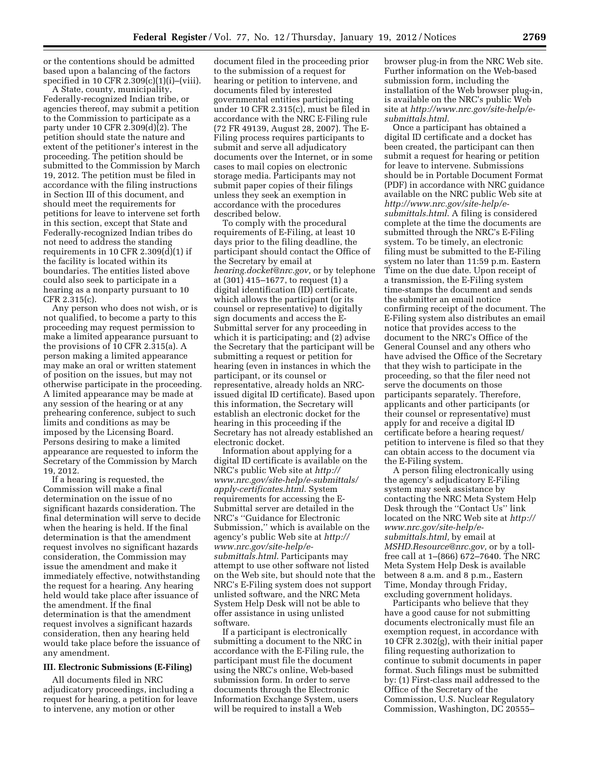or the contentions should be admitted based upon a balancing of the factors specified in 10 CFR  $2.309(c)(1)(i)$ –(viii).

A State, county, municipality, Federally-recognized Indian tribe, or agencies thereof, may submit a petition to the Commission to participate as a party under 10 CFR 2.309(d)(2). The petition should state the nature and extent of the petitioner's interest in the proceeding. The petition should be submitted to the Commission by March 19, 2012. The petition must be filed in accordance with the filing instructions in Section III of this document, and should meet the requirements for petitions for leave to intervene set forth in this section, except that State and Federally-recognized Indian tribes do not need to address the standing requirements in 10 CFR 2.309(d)(1) if the facility is located within its boundaries. The entities listed above could also seek to participate in a hearing as a nonparty pursuant to 10 CFR 2.315(c).

Any person who does not wish, or is not qualified, to become a party to this proceeding may request permission to make a limited appearance pursuant to the provisions of 10 CFR 2.315(a). A person making a limited appearance may make an oral or written statement of position on the issues, but may not otherwise participate in the proceeding. A limited appearance may be made at any session of the hearing or at any prehearing conference, subject to such limits and conditions as may be imposed by the Licensing Board. Persons desiring to make a limited appearance are requested to inform the Secretary of the Commission by March 19, 2012.

If a hearing is requested, the Commission will make a final determination on the issue of no significant hazards consideration. The final determination will serve to decide when the hearing is held. If the final determination is that the amendment request involves no significant hazards consideration, the Commission may issue the amendment and make it immediately effective, notwithstanding the request for a hearing. Any hearing held would take place after issuance of the amendment. If the final determination is that the amendment request involves a significant hazards consideration, then any hearing held would take place before the issuance of any amendment.

#### **III. Electronic Submissions (E-Filing)**

All documents filed in NRC adjudicatory proceedings, including a request for hearing, a petition for leave to intervene, any motion or other

document filed in the proceeding prior to the submission of a request for hearing or petition to intervene, and documents filed by interested governmental entities participating under 10 CFR 2.315(c), must be filed in accordance with the NRC E-Filing rule (72 FR 49139, August 28, 2007). The E-Filing process requires participants to submit and serve all adjudicatory documents over the Internet, or in some cases to mail copies on electronic storage media. Participants may not submit paper copies of their filings unless they seek an exemption in accordance with the procedures described below.

To comply with the procedural requirements of E-Filing, at least 10 days prior to the filing deadline, the participant should contact the Office of the Secretary by email at *[hearing.docket@nrc.gov,](mailto:hearing.docket@nrc.gov)* or by telephone at (301) 415–1677, to request (1) a digital identification (ID) certificate, which allows the participant (or its counsel or representative) to digitally sign documents and access the E-Submittal server for any proceeding in which it is participating; and (2) advise the Secretary that the participant will be submitting a request or petition for hearing (even in instances in which the participant, or its counsel or representative, already holds an NRCissued digital ID certificate). Based upon this information, the Secretary will establish an electronic docket for the hearing in this proceeding if the Secretary has not already established an electronic docket.

Information about applying for a digital ID certificate is available on the NRC's public Web site at *[http://](http://www.nrc.gov/site-help/e-submittals/apply-certificates.html) [www.nrc.gov/site-help/e-submittals/](http://www.nrc.gov/site-help/e-submittals/apply-certificates.html)  [apply-certificates.html](http://www.nrc.gov/site-help/e-submittals/apply-certificates.html)*. System requirements for accessing the E-Submittal server are detailed in the NRC's ''Guidance for Electronic Submission,'' which is available on the agency's public Web site at *[http://](http://www.nrc.gov/site-help/e-submittals.html)  [www.nrc.gov/site-help/e](http://www.nrc.gov/site-help/e-submittals.html)[submittals.html](http://www.nrc.gov/site-help/e-submittals.html)*. Participants may attempt to use other software not listed on the Web site, but should note that the NRC's E-Filing system does not support unlisted software, and the NRC Meta System Help Desk will not be able to offer assistance in using unlisted software.

If a participant is electronically submitting a document to the NRC in accordance with the E-Filing rule, the participant must file the document using the NRC's online, Web-based submission form. In order to serve documents through the Electronic Information Exchange System, users will be required to install a Web

browser plug-in from the NRC Web site. Further information on the Web-based submission form, including the installation of the Web browser plug-in, is available on the NRC's public Web site at *[http://www.nrc.gov/site-help/e](http://www.nrc.gov/site-help/e-submittals.html)[submittals.html](http://www.nrc.gov/site-help/e-submittals.html)*.

Once a participant has obtained a digital ID certificate and a docket has been created, the participant can then submit a request for hearing or petition for leave to intervene. Submissions should be in Portable Document Format (PDF) in accordance with NRC guidance available on the NRC public Web site at *[http://www.nrc.gov/site-help/e](http://www.nrc.gov/site-help/e-submittals.html)[submittals.html](http://www.nrc.gov/site-help/e-submittals.html)*. A filing is considered complete at the time the documents are submitted through the NRC's E-Filing system. To be timely, an electronic filing must be submitted to the E-Filing system no later than 11:59 p.m. Eastern Time on the due date. Upon receipt of a transmission, the E-Filing system time-stamps the document and sends the submitter an email notice confirming receipt of the document. The E-Filing system also distributes an email notice that provides access to the document to the NRC's Office of the General Counsel and any others who have advised the Office of the Secretary that they wish to participate in the proceeding, so that the filer need not serve the documents on those participants separately. Therefore, applicants and other participants (or their counsel or representative) must apply for and receive a digital ID certificate before a hearing request/ petition to intervene is filed so that they can obtain access to the document via the E-Filing system.

A person filing electronically using the agency's adjudicatory E-Filing system may seek assistance by contacting the NRC Meta System Help Desk through the ''Contact Us'' link located on the NRC Web site at *[http://](http://www.nrc.gov/site-help/e-submittals.html)  [www.nrc.gov/site-help/e](http://www.nrc.gov/site-help/e-submittals.html)[submittals.html,](http://www.nrc.gov/site-help/e-submittals.html)* by email at *[MSHD.Resource@nrc.gov,](mailto:MSHD.Resource@nrc.gov)* or by a tollfree call at 1–(866) 672–7640. The NRC Meta System Help Desk is available between 8 a.m. and 8 p.m., Eastern Time, Monday through Friday, excluding government holidays.

Participants who believe that they have a good cause for not submitting documents electronically must file an exemption request, in accordance with 10 CFR 2.302(g), with their initial paper filing requesting authorization to continue to submit documents in paper format. Such filings must be submitted by: (1) First-class mail addressed to the Office of the Secretary of the Commission, U.S. Nuclear Regulatory Commission, Washington, DC 20555–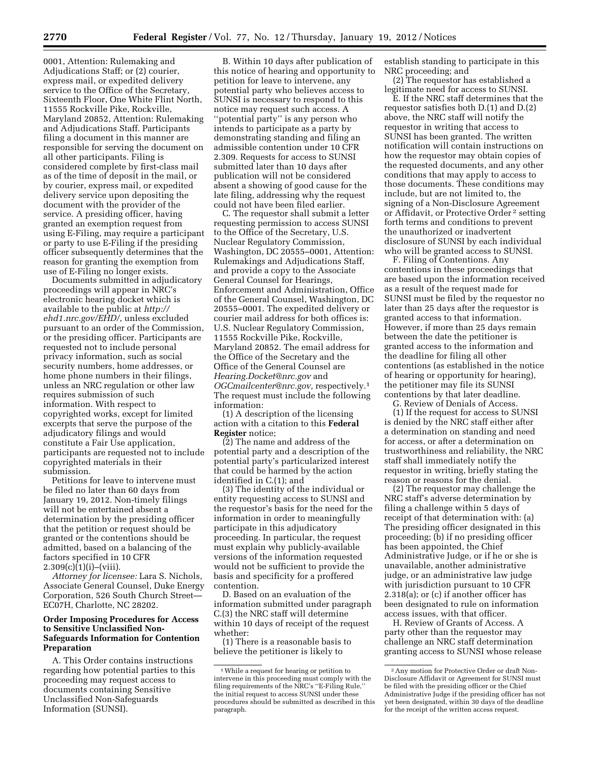0001, Attention: Rulemaking and Adjudications Staff; or (2) courier, express mail, or expedited delivery service to the Office of the Secretary, Sixteenth Floor, One White Flint North, 11555 Rockville Pike, Rockville, Maryland 20852, Attention: Rulemaking and Adjudications Staff. Participants filing a document in this manner are responsible for serving the document on all other participants. Filing is considered complete by first-class mail as of the time of deposit in the mail, or by courier, express mail, or expedited delivery service upon depositing the document with the provider of the service. A presiding officer, having granted an exemption request from using E-Filing, may require a participant or party to use E-Filing if the presiding officer subsequently determines that the reason for granting the exemption from use of E-Filing no longer exists.

Documents submitted in adjudicatory proceedings will appear in NRC's electronic hearing docket which is available to the public at *[http://](http://ehd1.nrc.gov/EHD/)  [ehd1.nrc.gov/EHD/](http://ehd1.nrc.gov/EHD/)*, unless excluded pursuant to an order of the Commission, or the presiding officer. Participants are requested not to include personal privacy information, such as social security numbers, home addresses, or home phone numbers in their filings, unless an NRC regulation or other law requires submission of such information. With respect to copyrighted works, except for limited excerpts that serve the purpose of the adjudicatory filings and would constitute a Fair Use application, participants are requested not to include copyrighted materials in their submission.

Petitions for leave to intervene must be filed no later than 60 days from January 19, 2012. Non-timely filings will not be entertained absent a determination by the presiding officer that the petition or request should be granted or the contentions should be admitted, based on a balancing of the factors specified in 10 CFR  $2.309(c)(1)(i)–(viii).$ 

*Attorney for licensee:* Lara S. Nichols, Associate General Counsel, Duke Energy Corporation, 526 South Church Street— EC07H, Charlotte, NC 28202.

## **Order Imposing Procedures for Access to Sensitive Unclassified Non-Safeguards Information for Contention Preparation**

A. This Order contains instructions regarding how potential parties to this proceeding may request access to documents containing Sensitive Unclassified Non-Safeguards Information (SUNSI).

B. Within 10 days after publication of this notice of hearing and opportunity to petition for leave to intervene, any potential party who believes access to SUNSI is necessary to respond to this notice may request such access. A ''potential party'' is any person who intends to participate as a party by demonstrating standing and filing an admissible contention under 10 CFR 2.309. Requests for access to SUNSI submitted later than 10 days after publication will not be considered absent a showing of good cause for the late filing, addressing why the request could not have been filed earlier.

C. The requestor shall submit a letter requesting permission to access SUNSI to the Office of the Secretary, U.S. Nuclear Regulatory Commission, Washington, DC 20555–0001, Attention: Rulemakings and Adjudications Staff, and provide a copy to the Associate General Counsel for Hearings, Enforcement and Administration, Office of the General Counsel, Washington, DC 20555–0001. The expedited delivery or courier mail address for both offices is: U.S. Nuclear Regulatory Commission, 11555 Rockville Pike, Rockville, Maryland 20852. The email address for the Office of the Secretary and the Office of the General Counsel are *[Hearing.Docket@nrc.gov](mailto:Hearing.Docket@nrc.gov)* and *[OGCmailcenter@nrc.gov,](mailto:OGCmailcenter@nrc.gov)* respectively.1 The request must include the following information:

(1) A description of the licensing action with a citation to this **Federal Register** notice;

(2) The name and address of the potential party and a description of the potential party's particularized interest that could be harmed by the action identified in C.(1); and

(3) The identity of the individual or entity requesting access to SUNSI and the requestor's basis for the need for the information in order to meaningfully participate in this adjudicatory proceeding. In particular, the request must explain why publicly-available versions of the information requested would not be sufficient to provide the basis and specificity for a proffered contention.

D. Based on an evaluation of the information submitted under paragraph C.(3) the NRC staff will determine within 10 days of receipt of the request whether:

(1) There is a reasonable basis to believe the petitioner is likely to

establish standing to participate in this NRC proceeding; and

(2) The requestor has established a legitimate need for access to SUNSI.

E. If the NRC staff determines that the requestor satisfies both D.(1) and D.(2) above, the NRC staff will notify the requestor in writing that access to SUNSI has been granted. The written notification will contain instructions on how the requestor may obtain copies of the requested documents, and any other conditions that may apply to access to those documents. These conditions may include, but are not limited to, the signing of a Non-Disclosure Agreement or Affidavit, or Protective Order 2 setting forth terms and conditions to prevent the unauthorized or inadvertent disclosure of SUNSI by each individual who will be granted access to SUNSI.

F. Filing of Contentions. Any contentions in these proceedings that are based upon the information received as a result of the request made for SUNSI must be filed by the requestor no later than 25 days after the requestor is granted access to that information. However, if more than 25 days remain between the date the petitioner is granted access to the information and the deadline for filing all other contentions (as established in the notice of hearing or opportunity for hearing), the petitioner may file its SUNSI contentions by that later deadline.

G. Review of Denials of Access. (1) If the request for access to SUNSI is denied by the NRC staff either after a determination on standing and need for access, or after a determination on trustworthiness and reliability, the NRC staff shall immediately notify the requestor in writing, briefly stating the reason or reasons for the denial.

(2) The requestor may challenge the NRC staff's adverse determination by filing a challenge within 5 days of receipt of that determination with: (a) The presiding officer designated in this proceeding; (b) if no presiding officer has been appointed, the Chief Administrative Judge, or if he or she is unavailable, another administrative judge, or an administrative law judge with jurisdiction pursuant to 10 CFR 2.318(a); or (c) if another officer has been designated to rule on information access issues, with that officer.

H. Review of Grants of Access. A party other than the requestor may challenge an NRC staff determination granting access to SUNSI whose release

<sup>1</sup>While a request for hearing or petition to intervene in this proceeding must comply with the filing requirements of the NRC's ''E-Filing Rule,'' the initial request to access SUNSI under these procedures should be submitted as described in this paragraph.

<sup>2</sup>Any motion for Protective Order or draft Non-Disclosure Affidavit or Agreement for SUNSI must be filed with the presiding officer or the Chief Administrative Judge if the presiding officer has not yet been designated, within 30 days of the deadline for the receipt of the written access request.